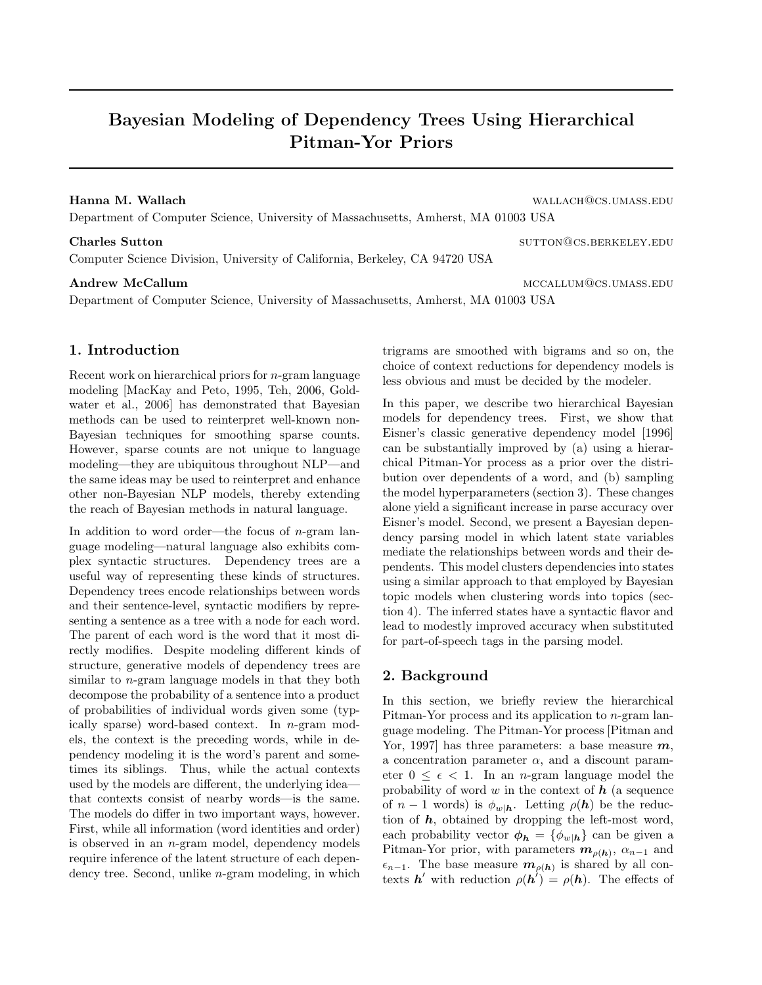# Bayesian Modeling of Dependency Trees Using Hierarchical Pitman-Yor Priors

## Hanna M. Wallach wallach@cs.umass.edu

Department of Computer Science, University of Massachusetts, Amherst, MA 01003 USA

Computer Science Division, University of California, Berkeley, CA 94720 USA

Department of Computer Science, University of Massachusetts, Amherst, MA 01003 USA

## 1. Introduction

Recent work on hierarchical priors for n-gram language modeling [MacKay and Peto, 1995, Teh, 2006, Goldwater et al., 2006] has demonstrated that Bayesian methods can be used to reinterpret well-known non-Bayesian techniques for smoothing sparse counts. However, sparse counts are not unique to language modeling—they are ubiquitous throughout NLP—and the same ideas may be used to reinterpret and enhance other non-Bayesian NLP models, thereby extending the reach of Bayesian methods in natural language.

In addition to word order—the focus of  $n$ -gram language modeling—natural language also exhibits complex syntactic structures. Dependency trees are a useful way of representing these kinds of structures. Dependency trees encode relationships between words and their sentence-level, syntactic modifiers by representing a sentence as a tree with a node for each word. The parent of each word is the word that it most directly modifies. Despite modeling different kinds of structure, generative models of dependency trees are similar to n-gram language models in that they both decompose the probability of a sentence into a product of probabilities of individual words given some (typically sparse) word-based context. In n-gram models, the context is the preceding words, while in dependency modeling it is the word's parent and sometimes its siblings. Thus, while the actual contexts used by the models are different, the underlying idea that contexts consist of nearby words—is the same. The models do differ in two important ways, however. First, while all information (word identities and order) is observed in an n-gram model, dependency models require inference of the latent structure of each dependency tree. Second, unlike n-gram modeling, in which trigrams are smoothed with bigrams and so on, the choice of context reductions for dependency models is less obvious and must be decided by the modeler.

In this paper, we describe two hierarchical Bayesian models for dependency trees. First, we show that Eisner's classic generative dependency model [1996] can be substantially improved by (a) using a hierarchical Pitman-Yor process as a prior over the distribution over dependents of a word, and (b) sampling the model hyperparameters (section 3). These changes alone yield a significant increase in parse accuracy over Eisner's model. Second, we present a Bayesian dependency parsing model in which latent state variables mediate the relationships between words and their dependents. This model clusters dependencies into states using a similar approach to that employed by Bayesian topic models when clustering words into topics (section 4). The inferred states have a syntactic flavor and lead to modestly improved accuracy when substituted for part-of-speech tags in the parsing model.

## 2. Background

In this section, we briefly review the hierarchical Pitman-Yor process and its application to n-gram language modeling. The Pitman-Yor process [Pitman and Yor, 1997] has three parameters: a base measure  $m$ , a concentration parameter  $\alpha$ , and a discount parameter  $0 \leq \epsilon < 1$ . In an *n*-gram language model the probability of word w in the context of  $h$  (a sequence of  $n-1$  words) is  $\phi_{w|\mathbf{h}}$ . Letting  $\rho(\mathbf{h})$  be the reduction of  $h$ , obtained by dropping the left-most word, each probability vector  $\phi_h = {\phi_{w/h}}$  can be given a Pitman-Yor prior, with parameters  $m_{\rho(h)}$ ,  $\alpha_{n-1}$  and  $\epsilon_{n-1}$ . The base measure  $m_{\rho(h)}$  is shared by all contexts h' with reduction  $\rho(h') = \rho(h)$ . The effects of

Charles Sutton surface of the surface of the surface of the surface surface surface surface  $\sim$  surface surface surface surface surface surface surface surface surface surface surface surface surface surface surface surfa

Andrew McCallum materials and the material method of the method method of the method method method method method method method method method method method method method method method method method method method method meth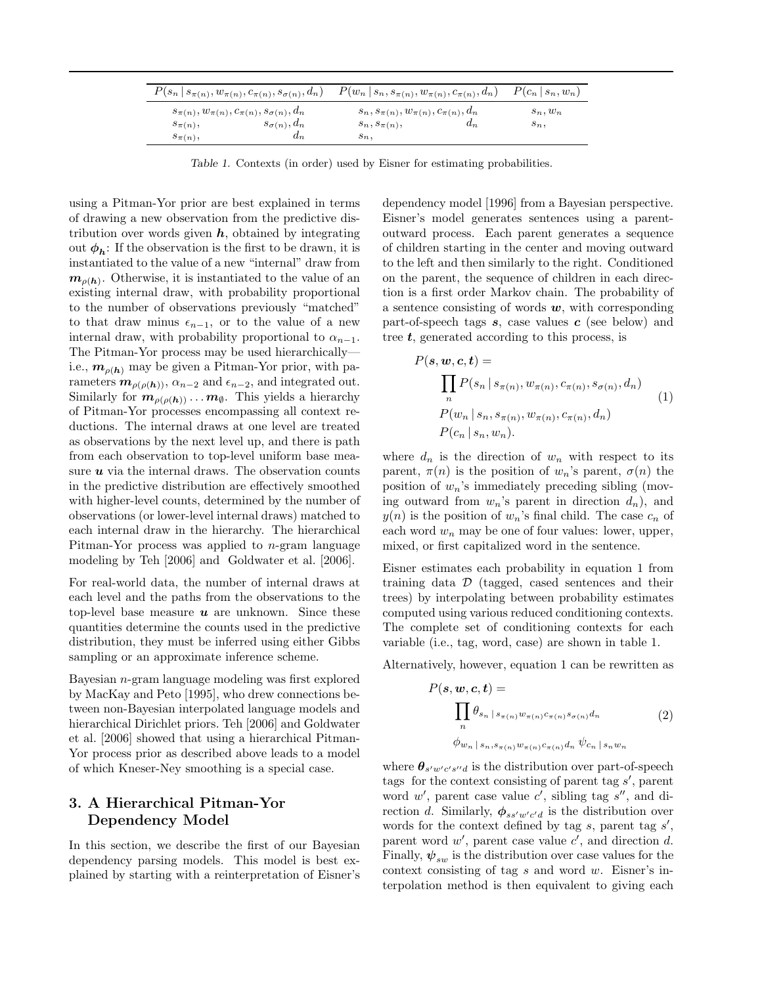| $P(s_n   s_{\pi(n)}, w_{\pi(n)}, c_{\pi(n)}, s_{\sigma(n)}, d_n)$ |                      | $P(w_n   s_n, s_{\pi(n)}, w_{\pi(n)}, c_{\pi(n)}, d_n)$ |       | $P(c_n   s_n, w_n)$ |  |
|-------------------------------------------------------------------|----------------------|---------------------------------------------------------|-------|---------------------|--|
| $s_{\pi(n)}, w_{\pi(n)}, c_{\pi(n)}, s_{\sigma(n)}, d_n$          |                      | $s_n, s_{\pi(n)}, w_{\pi(n)}, c_{\pi(n)}, d_n$          |       | $s_n, w_n$          |  |
| $s_{\pi(n)},$                                                     | $s_{\sigma(n)}, d_n$ | $s_n, s_{\pi(n)},$                                      | $d_n$ | $s_n,$              |  |
| $s_{\pi(n)},$                                                     | $d_n$                | $s_n,$                                                  |       |                     |  |

Table 1. Contexts (in order) used by Eisner for estimating probabilities.

using a Pitman-Yor prior are best explained in terms of drawing a new observation from the predictive distribution over words given  $h$ , obtained by integrating out  $\phi_h$ : If the observation is the first to be drawn, it is instantiated to the value of a new "internal" draw from  $m_{\rho(h)}$ . Otherwise, it is instantiated to the value of an existing internal draw, with probability proportional to the number of observations previously "matched" to that draw minus  $\epsilon_{n-1}$ , or to the value of a new internal draw, with probability proportional to  $\alpha_{n-1}$ . The Pitman-Yor process may be used hierarchically i.e.,  $m_{\rho(h)}$  may be given a Pitman-Yor prior, with parameters  $m_{\rho(\rho(h))}$ ,  $\alpha_{n-2}$  and  $\epsilon_{n-2}$ , and integrated out. Similarly for  $m_{\rho(\rho(h))}\dots m_{\emptyset}$ . This yields a hierarchy of Pitman-Yor processes encompassing all context reductions. The internal draws at one level are treated as observations by the next level up, and there is path from each observation to top-level uniform base measure  $u$  via the internal draws. The observation counts in the predictive distribution are effectively smoothed with higher-level counts, determined by the number of observations (or lower-level internal draws) matched to each internal draw in the hierarchy. The hierarchical Pitman-Yor process was applied to  $n$ -gram language modeling by Teh [2006] and Goldwater et al. [2006].

For real-world data, the number of internal draws at each level and the paths from the observations to the top-level base measure  $u$  are unknown. Since these quantities determine the counts used in the predictive distribution, they must be inferred using either Gibbs sampling or an approximate inference scheme.

Bayesian n-gram language modeling was first explored by MacKay and Peto [1995], who drew connections between non-Bayesian interpolated language models and hierarchical Dirichlet priors. Teh [2006] and Goldwater et al. [2006] showed that using a hierarchical Pitman-Yor process prior as described above leads to a model of which Kneser-Ney smoothing is a special case.

## 3. A Hierarchical Pitman-Yor Dependency Model

In this section, we describe the first of our Bayesian dependency parsing models. This model is best explained by starting with a reinterpretation of Eisner's

dependency model [1996] from a Bayesian perspective. Eisner's model generates sentences using a parentoutward process. Each parent generates a sequence of children starting in the center and moving outward to the left and then similarly to the right. Conditioned on the parent, the sequence of children in each direction is a first order Markov chain. The probability of a sentence consisting of words  $w$ , with corresponding part-of-speech tags  $s$ , case values  $c$  (see below) and tree t, generated according to this process, is

$$
P(s, w, c, t) = \prod_{n} P(s_n | s_{\pi(n)}, w_{\pi(n)}, c_{\pi(n)}, s_{\sigma(n)}, d_n)
$$
  
\n
$$
P(w_n | s_n, s_{\pi(n)}, w_{\pi(n)}, c_{\pi(n)}, d_n)
$$
  
\n
$$
P(c_n | s_n, w_n).
$$
\n(1)

where  $d_n$  is the direction of  $w_n$  with respect to its parent,  $\pi(n)$  is the position of  $w_n$ 's parent,  $\sigma(n)$  the position of  $w_n$ 's immediately preceding sibling (moving outward from  $w_n$ 's parent in direction  $d_n$ ), and  $y(n)$  is the position of  $w_n$ 's final child. The case  $c_n$  of each word  $w_n$  may be one of four values: lower, upper, mixed, or first capitalized word in the sentence.

Eisner estimates each probability in equation 1 from training data  $\mathcal D$  (tagged, cased sentences and their trees) by interpolating between probability estimates computed using various reduced conditioning contexts. The complete set of conditioning contexts for each variable (i.e., tag, word, case) are shown in table 1.

Alternatively, however, equation 1 can be rewritten as

$$
P(\mathbf{s}, \mathbf{w}, \mathbf{c}, \mathbf{t}) = \prod_{n} \theta_{s_n \mid s_{\pi(n)} w_{\pi(n)} c_{\pi(n)} s_{\sigma(n)} d_n}
$$
\n
$$
\phi_{w_n \mid s_n, s_{\pi(n)} w_{\pi(n)} c_{\pi(n)} d_n} \psi_{c_n \mid s_n w_n}
$$
\n
$$
(2)
$$

where  $\theta_{s'w'c's''d}$  is the distribution over part-of-speech tags for the context consisting of parent tag  $s'$ , parent word  $w'$ , parent case value  $c'$ , sibling tag  $s''$ , and direction d. Similarly,  $\phi_{ss'w'c'd}$  is the distribution over words for the context defined by tag  $s$ , parent tag  $s'$ , parent word  $w'$ , parent case value  $c'$ , and direction  $d$ . Finally,  $\psi_{sw}$  is the distribution over case values for the context consisting of tag  $s$  and word  $w$ . Eisner's interpolation method is then equivalent to giving each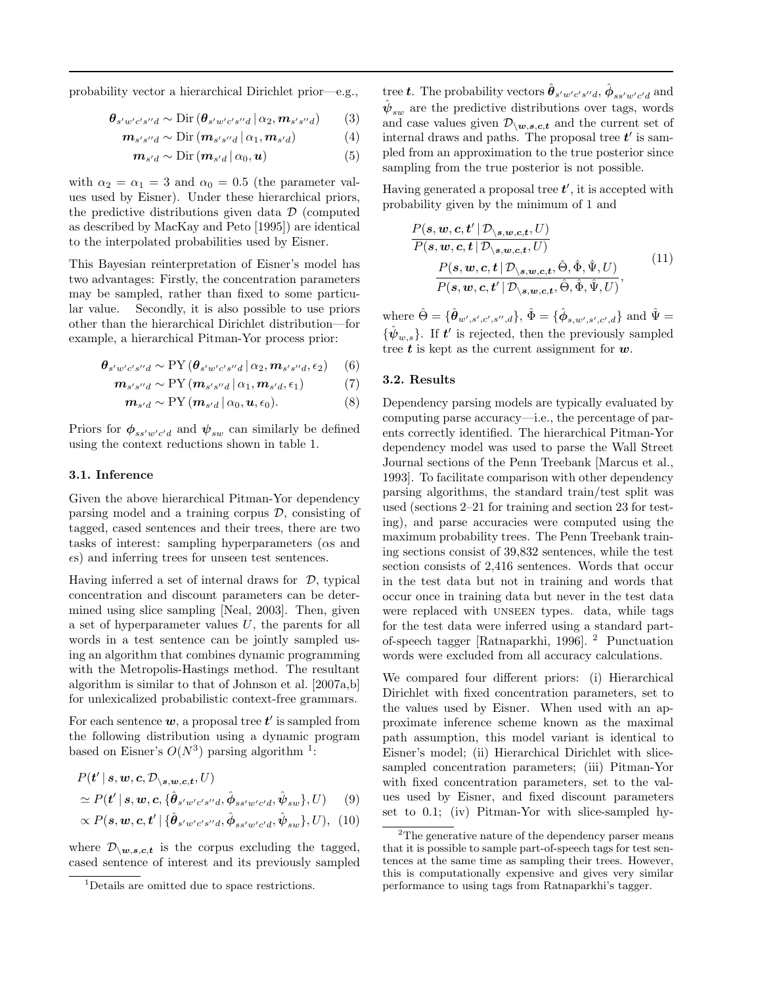probability vector a hierarchical Dirichlet prior—e.g.,

$$
\boldsymbol{\theta}_{s'w'c's''d} \sim \text{Dir}\left(\boldsymbol{\theta}_{s'w'c's''d} \,|\, \alpha_2, \boldsymbol{m}_{s's''d}\right) \tag{3}
$$

$$
\boldsymbol{m}_{s's''d} \sim \mathrm{Dir} \left( \boldsymbol{m}_{s's''d} \, | \, \alpha_1, \boldsymbol{m}_{s'd} \right) \tag{4}
$$

$$
\mathbf{m}_{s'd} \sim \mathrm{Dir} \left( \mathbf{m}_{s'd} \, | \, \alpha_0, \mathbf{u} \right) \tag{5}
$$

with  $\alpha_2 = \alpha_1 = 3$  and  $\alpha_0 = 0.5$  (the parameter values used by Eisner). Under these hierarchical priors, the predictive distributions given data  $\mathcal D$  (computed as described by MacKay and Peto [1995]) are identical to the interpolated probabilities used by Eisner.

This Bayesian reinterpretation of Eisner's model has two advantages: Firstly, the concentration parameters may be sampled, rather than fixed to some particular value. Secondly, it is also possible to use priors other than the hierarchical Dirichlet distribution—for example, a hierarchical Pitman-Yor process prior:

$$
\boldsymbol{\theta}_{s'w'c's''d} \sim \text{PY}\left(\boldsymbol{\theta}_{s'w'c's''d} \,|\, \alpha_2, \boldsymbol{m}_{s's''d}, \epsilon_2\right) \tag{6}
$$

$$
\mathbf{m}_{s's''d} \sim \text{PY}\left(\mathbf{m}_{s's''d} \,|\, \alpha_1, \mathbf{m}_{s'd}, \epsilon_1\right) \tag{7}
$$

$$
\mathbf{m}_{s'd} \sim \text{PY}\left(\mathbf{m}_{s'd} \,|\, \alpha_0, \mathbf{u}, \epsilon_0\right). \tag{8}
$$

Priors for  $\phi_{ss'w'c'd}$  and  $\psi_{sw}$  can similarly be defined using the context reductions shown in table 1.

#### 3.1. Inference

Given the above hierarchical Pitman-Yor dependency parsing model and a training corpus  $D$ , consisting of tagged, cased sentences and their trees, there are two tasks of interest: sampling hyperparameters (αs and s) and inferring trees for unseen test sentences.

Having inferred a set of internal draws for  $\mathcal{D}$ , typical concentration and discount parameters can be determined using slice sampling [Neal, 2003]. Then, given a set of hyperparameter values U, the parents for all words in a test sentence can be jointly sampled using an algorithm that combines dynamic programming with the Metropolis-Hastings method. The resultant algorithm is similar to that of Johnson et al. [2007a,b] for unlexicalized probabilistic context-free grammars.

For each sentence  $w$ , a proposal tree  $t'$  is sampled from the following distribution using a dynamic program based on Eisner's  $O(N^3)$  parsing algorithm<sup>1</sup>:

$$
P(\mathbf{t}' | \mathbf{s}, \mathbf{w}, \mathbf{c}, \mathcal{D}_{\setminus \mathbf{s}, \mathbf{w}, \mathbf{c}, \mathbf{t}}, U) \n\simeq P(\mathbf{t}' | \mathbf{s}, \mathbf{w}, \mathbf{c}, \{\hat{\boldsymbol{\theta}}_{s'w'c's''d}, \hat{\boldsymbol{\phi}}_{ss'w'c'd}, \hat{\boldsymbol{\psi}}_{sw}\}, U) \tag{9}
$$

$$
\propto P(\mathbf{s}, \mathbf{w}, \mathbf{c}, \mathbf{t}' | \{ \hat{\boldsymbol{\theta}}_{s'w'c's''d}, \hat{\boldsymbol{\phi}}_{ss'w'c'd}, \hat{\boldsymbol{\psi}}_{sw} \}, U), \tag{10}
$$

where  $\mathcal{D}_{\setminus w,s,c,t}$  is the corpus excluding the tagged, cased sentence of interest and its previously sampled

tree **t**. The probability vectors  $\hat{\theta}_{s'w'c's''d}$ ,  $\hat{\phi}_{ss'w'c'd}$  and  $\hat{\boldsymbol{\psi}}_{sw}$  are the predictive distributions over tags, words and case values given  $\mathcal{D}_{\setminus w,s,c,t}$  and the current set of internal draws and paths. The proposal tree  $t'$  is sampled from an approximation to the true posterior since sampling from the true posterior is not possible.

Having generated a proposal tree  $t'$ , it is accepted with probability given by the minimum of 1 and

$$
\frac{P(s, w, c, t' | \mathcal{D}_{\setminus s, w, c, t}, U)}{P(s, w, c, t | \mathcal{D}_{\setminus s, w, c, t}, U)} \n \frac{P(s, w, c, t | \mathcal{D}_{\setminus s, w, c, t}, \hat{\Theta}, \hat{\Phi}, \hat{\Psi}, U)}{P(s, w, c, t' | \mathcal{D}_{\setminus s, w, c, t}, \hat{\Theta}, \hat{\Phi}, \hat{\Psi}, U)},
$$
\n(11)

where  $\hat{\Theta} = {\hat{\theta}_{w',s',c',s'',d}}, \hat{\Phi} = {\hat{\phi}_{s,w',s',c',d}}$  and  $\hat{\Psi} =$  ${\hat{p}_{w,s}}$ . If  $t'$  is rejected, then the previously sampled tree  $\boldsymbol{t}$  is kept as the current assignment for  $\boldsymbol{w}$ .

#### 3.2. Results

Dependency parsing models are typically evaluated by computing parse accuracy—i.e., the percentage of parents correctly identified. The hierarchical Pitman-Yor dependency model was used to parse the Wall Street Journal sections of the Penn Treebank [Marcus et al., 1993]. To facilitate comparison with other dependency parsing algorithms, the standard train/test split was used (sections 2–21 for training and section 23 for testing), and parse accuracies were computed using the maximum probability trees. The Penn Treebank training sections consist of 39,832 sentences, while the test section consists of 2,416 sentences. Words that occur in the test data but not in training and words that occur once in training data but never in the test data were replaced with unseen types. data, while tags for the test data were inferred using a standard partof-speech tagger [Ratnaparkhi, 1996]. <sup>2</sup> Punctuation words were excluded from all accuracy calculations.

We compared four different priors: (i) Hierarchical Dirichlet with fixed concentration parameters, set to the values used by Eisner. When used with an approximate inference scheme known as the maximal path assumption, this model variant is identical to Eisner's model; (ii) Hierarchical Dirichlet with slicesampled concentration parameters; (iii) Pitman-Yor with fixed concentration parameters, set to the values used by Eisner, and fixed discount parameters set to 0.1; (iv) Pitman-Yor with slice-sampled hy-

<sup>1</sup>Details are omitted due to space restrictions.

 $2$ The generative nature of the dependency parser means that it is possible to sample part-of-speech tags for test sentences at the same time as sampling their trees. However, this is computationally expensive and gives very similar performance to using tags from Ratnaparkhi's tagger.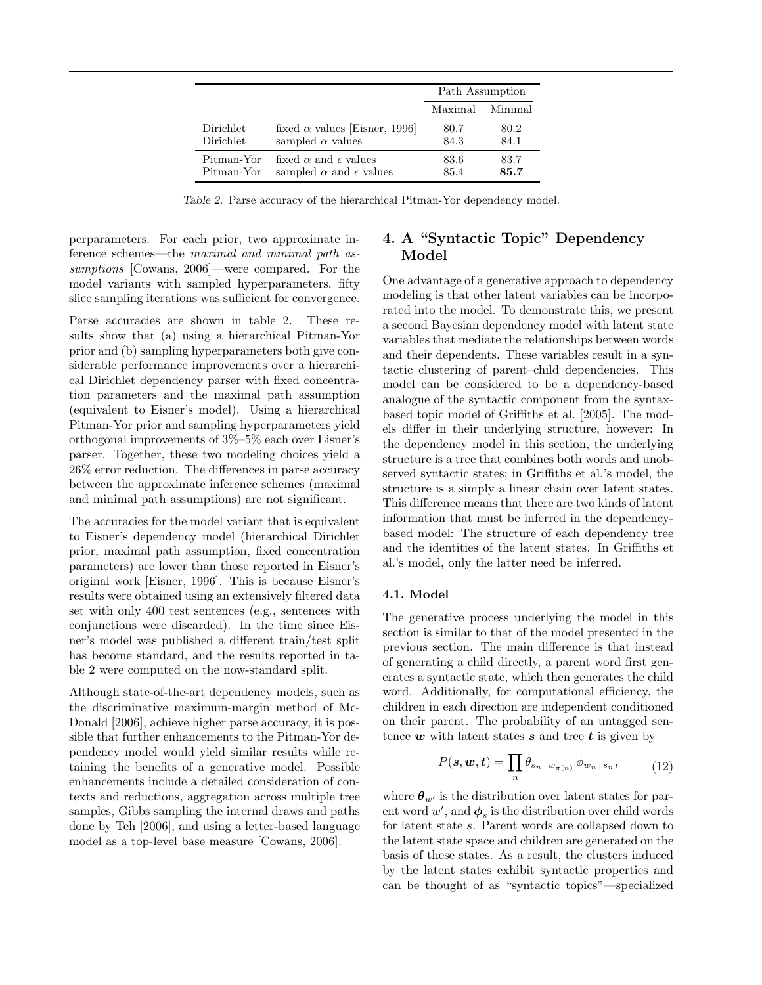|                  |                                        | Path Assumption |         |
|------------------|----------------------------------------|-----------------|---------|
|                  |                                        | Maximal         | Minimal |
| <b>Dirichlet</b> | fixed $\alpha$ values [Eisner, 1996]   | 80.7            | 80.2    |
| <b>Dirichlet</b> | sampled $\alpha$ values                | 84.3            | 84.1    |
| Pitman-Yor       | fixed $\alpha$ and $\epsilon$ values   | 83.6            | 83.7    |
| Pitman-Yor       | sampled $\alpha$ and $\epsilon$ values | 85.4            | 85.7    |

Table 2. Parse accuracy of the hierarchical Pitman-Yor dependency model.

perparameters. For each prior, two approximate inference schemes—the maximal and minimal path assumptions [Cowans, 2006]—were compared. For the model variants with sampled hyperparameters, fifty slice sampling iterations was sufficient for convergence.

Parse accuracies are shown in table 2. These results show that (a) using a hierarchical Pitman-Yor prior and (b) sampling hyperparameters both give considerable performance improvements over a hierarchical Dirichlet dependency parser with fixed concentration parameters and the maximal path assumption (equivalent to Eisner's model). Using a hierarchical Pitman-Yor prior and sampling hyperparameters yield orthogonal improvements of 3%–5% each over Eisner's parser. Together, these two modeling choices yield a 26% error reduction. The differences in parse accuracy between the approximate inference schemes (maximal and minimal path assumptions) are not significant.

The accuracies for the model variant that is equivalent to Eisner's dependency model (hierarchical Dirichlet prior, maximal path assumption, fixed concentration parameters) are lower than those reported in Eisner's original work [Eisner, 1996]. This is because Eisner's results were obtained using an extensively filtered data set with only 400 test sentences (e.g., sentences with conjunctions were discarded). In the time since Eisner's model was published a different train/test split has become standard, and the results reported in table 2 were computed on the now-standard split.

Although state-of-the-art dependency models, such as the discriminative maximum-margin method of Mc-Donald [2006], achieve higher parse accuracy, it is possible that further enhancements to the Pitman-Yor dependency model would yield similar results while retaining the benefits of a generative model. Possible enhancements include a detailed consideration of contexts and reductions, aggregation across multiple tree samples, Gibbs sampling the internal draws and paths done by Teh [2006], and using a letter-based language model as a top-level base measure [Cowans, 2006].

## 4. A "Syntactic Topic" Dependency Model

One advantage of a generative approach to dependency modeling is that other latent variables can be incorporated into the model. To demonstrate this, we present a second Bayesian dependency model with latent state variables that mediate the relationships between words and their dependents. These variables result in a syntactic clustering of parent–child dependencies. This model can be considered to be a dependency-based analogue of the syntactic component from the syntaxbased topic model of Griffiths et al. [2005]. The models differ in their underlying structure, however: In the dependency model in this section, the underlying structure is a tree that combines both words and unobserved syntactic states; in Griffiths et al.'s model, the structure is a simply a linear chain over latent states. This difference means that there are two kinds of latent information that must be inferred in the dependencybased model: The structure of each dependency tree and the identities of the latent states. In Griffiths et al.'s model, only the latter need be inferred.

## 4.1. Model

The generative process underlying the model in this section is similar to that of the model presented in the previous section. The main difference is that instead of generating a child directly, a parent word first generates a syntactic state, which then generates the child word. Additionally, for computational efficiency, the children in each direction are independent conditioned on their parent. The probability of an untagged sentence  $\boldsymbol{w}$  with latent states  $\boldsymbol{s}$  and tree  $\boldsymbol{t}$  is given by

$$
P(\mathbf{s}, \mathbf{w}, \mathbf{t}) = \prod_{n} \theta_{s_n \mid w_{\pi(n)}} \phi_{w_n \mid s_n}, \tag{12}
$$

where  $\theta_{w'}$  is the distribution over latent states for parent word  $w'$ , and  $\phi_s$  is the distribution over child words for latent state s. Parent words are collapsed down to the latent state space and children are generated on the basis of these states. As a result, the clusters induced by the latent states exhibit syntactic properties and can be thought of as "syntactic topics"—specialized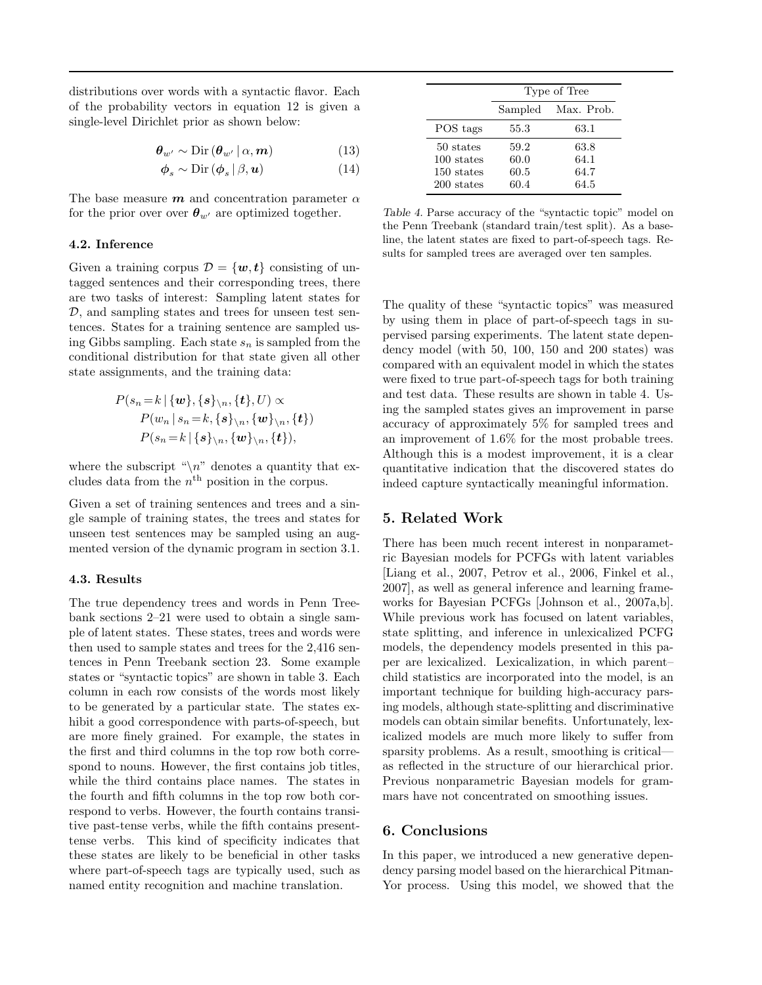distributions over words with a syntactic flavor. Each of the probability vectors in equation 12 is given a single-level Dirichlet prior as shown below:

$$
\boldsymbol{\theta}_{w'} \sim \mathrm{Dir} \left( \boldsymbol{\theta}_{w'} \, | \, \alpha, \boldsymbol{m} \right) \tag{13}
$$

$$
\phi_s \sim \text{Dir}\left(\phi_s \,|\, \beta, \mathbf{u}\right) \tag{14}
$$

The base measure  $m$  and concentration parameter  $\alpha$ for the prior over over  $\theta_{w'}$  are optimized together.

#### 4.2. Inference

Given a training corpus  $\mathcal{D} = \{w, t\}$  consisting of untagged sentences and their corresponding trees, there are two tasks of interest: Sampling latent states for D, and sampling states and trees for unseen test sentences. States for a training sentence are sampled using Gibbs sampling. Each state  $s_n$  is sampled from the conditional distribution for that state given all other state assignments, and the training data:

$$
P(s_n = k | \{w\}, \{s\}_{\backslash n}, \{t\}, U) \propto
$$
  
\n
$$
P(w_n | s_n = k, \{s\}_{\backslash n}, \{w\}_{\backslash n}, \{t\})
$$
  
\n
$$
P(s_n = k | \{s\}_{\backslash n}, \{w\}_{\backslash n}, \{t\}),
$$

where the subscript " $\langle n \rangle$ " denotes a quantity that excludes data from the  $n<sup>th</sup>$  position in the corpus.

Given a set of training sentences and trees and a single sample of training states, the trees and states for unseen test sentences may be sampled using an augmented version of the dynamic program in section 3.1.

### 4.3. Results

The true dependency trees and words in Penn Treebank sections 2–21 were used to obtain a single sample of latent states. These states, trees and words were then used to sample states and trees for the 2,416 sentences in Penn Treebank section 23. Some example states or "syntactic topics" are shown in table 3. Each column in each row consists of the words most likely to be generated by a particular state. The states exhibit a good correspondence with parts-of-speech, but are more finely grained. For example, the states in the first and third columns in the top row both correspond to nouns. However, the first contains job titles, while the third contains place names. The states in the fourth and fifth columns in the top row both correspond to verbs. However, the fourth contains transitive past-tense verbs, while the fifth contains presenttense verbs. This kind of specificity indicates that these states are likely to be beneficial in other tasks where part-of-speech tags are typically used, such as named entity recognition and machine translation.

|                                                     | Type of Tree                 |                              |  |
|-----------------------------------------------------|------------------------------|------------------------------|--|
|                                                     |                              | Sampled Max. Prob.           |  |
| POS tags                                            | 55.3                         | 63.1                         |  |
| 50 states<br>100 states<br>150 states<br>200 states | 59.2<br>60.0<br>60.5<br>60.4 | 63.8<br>64.1<br>64.7<br>64.5 |  |

Table 4. Parse accuracy of the "syntactic topic" model on the Penn Treebank (standard train/test split). As a baseline, the latent states are fixed to part-of-speech tags. Results for sampled trees are averaged over ten samples.

The quality of these "syntactic topics" was measured by using them in place of part-of-speech tags in supervised parsing experiments. The latent state dependency model (with 50, 100, 150 and 200 states) was compared with an equivalent model in which the states were fixed to true part-of-speech tags for both training and test data. These results are shown in table 4. Using the sampled states gives an improvement in parse accuracy of approximately 5% for sampled trees and an improvement of 1.6% for the most probable trees. Although this is a modest improvement, it is a clear quantitative indication that the discovered states do indeed capture syntactically meaningful information.

## 5. Related Work

There has been much recent interest in nonparametric Bayesian models for PCFGs with latent variables [Liang et al., 2007, Petrov et al., 2006, Finkel et al., 2007], as well as general inference and learning frameworks for Bayesian PCFGs [Johnson et al., 2007a,b]. While previous work has focused on latent variables, state splitting, and inference in unlexicalized PCFG models, the dependency models presented in this paper are lexicalized. Lexicalization, in which parent– child statistics are incorporated into the model, is an important technique for building high-accuracy parsing models, although state-splitting and discriminative models can obtain similar benefits. Unfortunately, lexicalized models are much more likely to suffer from sparsity problems. As a result, smoothing is criticalas reflected in the structure of our hierarchical prior. Previous nonparametric Bayesian models for grammars have not concentrated on smoothing issues.

### 6. Conclusions

In this paper, we introduced a new generative dependency parsing model based on the hierarchical Pitman-Yor process. Using this model, we showed that the